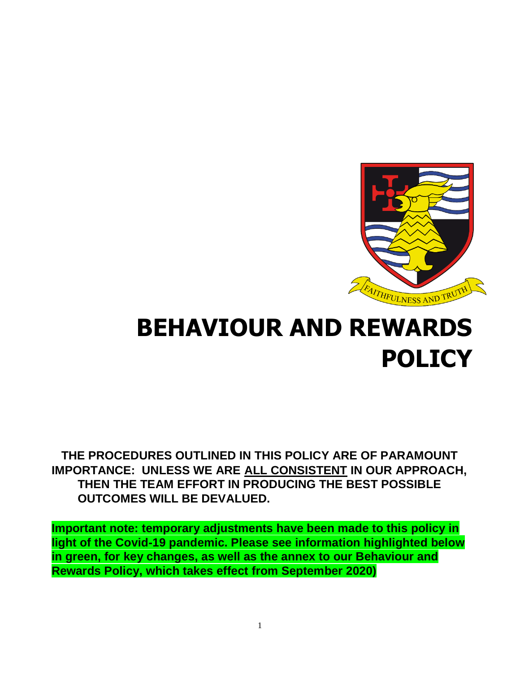

# **BEHAVIOUR AND REWARDS POLICY**

**THE PROCEDURES OUTLINED IN THIS POLICY ARE OF PARAMOUNT IMPORTANCE: UNLESS WE ARE ALL CONSISTENT IN OUR APPROACH, THEN THE TEAM EFFORT IN PRODUCING THE BEST POSSIBLE OUTCOMES WILL BE DEVALUED.** 

**Important note: temporary adjustments have been made to this policy in light of the Covid-19 pandemic. Please see information highlighted below in green, for key changes, as well as the annex to our Behaviour and Rewards Policy, which takes effect from September 2020)**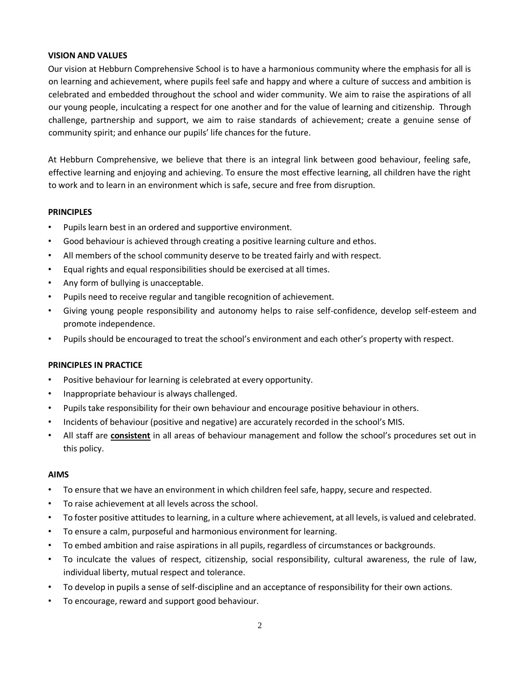#### **VISION AND VALUES**

Our vision at Hebburn Comprehensive School is to have a harmonious community where the emphasis for all is on learning and achievement, where pupils feel safe and happy and where a culture of success and ambition is celebrated and embedded throughout the school and wider community. We aim to raise the aspirations of all our young people, inculcating a respect for one another and for the value of learning and citizenship. Through challenge, partnership and support, we aim to raise standards of achievement; create a genuine sense of community spirit; and enhance our pupils' life chances for the future.

At Hebburn Comprehensive, we believe that there is an integral link between good behaviour, feeling safe, effective learning and enjoying and achieving. To ensure the most effective learning, all children have the right to work and to learn in an environment which is safe, secure and free from disruption.

#### **PRINCIPLES**

- Pupils learn best in an ordered and supportive environment.
- Good behaviour is achieved through creating a positive learning culture and ethos.
- All members of the school community deserve to be treated fairly and with respect.
- Equal rights and equal responsibilities should be exercised at all times.
- Any form of bullying is unacceptable.
- Pupils need to receive regular and tangible recognition of achievement.
- Giving young people responsibility and autonomy helps to raise self-confidence, develop self-esteem and promote independence.
- Pupils should be encouraged to treat the school's environment and each other's property with respect.

#### **PRINCIPLES IN PRACTICE**

- Positive behaviour for learning is celebrated at every opportunity.
- Inappropriate behaviour is always challenged.
- Pupils take responsibility for their own behaviour and encourage positive behaviour in others.
- Incidents of behaviour (positive and negative) are accurately recorded in the school's MIS.
- All staff are **consistent** in all areas of behaviour management and follow the school's procedures set out in this policy.

#### **AIMS**

- To ensure that we have an environment in which children feel safe, happy, secure and respected.
- To raise achievement at all levels across the school.
- To foster positive attitudes to learning, in a culture where achievement, at all levels, is valued and celebrated.
- To ensure a calm, purposeful and harmonious environment for learning.
- To embed ambition and raise aspirations in all pupils, regardless of circumstances or backgrounds.
- To inculcate the values of respect, citizenship, social responsibility, cultural awareness, the rule of law, individual liberty, mutual respect and tolerance.
- To develop in pupils a sense of self-discipline and an acceptance of responsibility for their own actions.
- To encourage, reward and support good behaviour.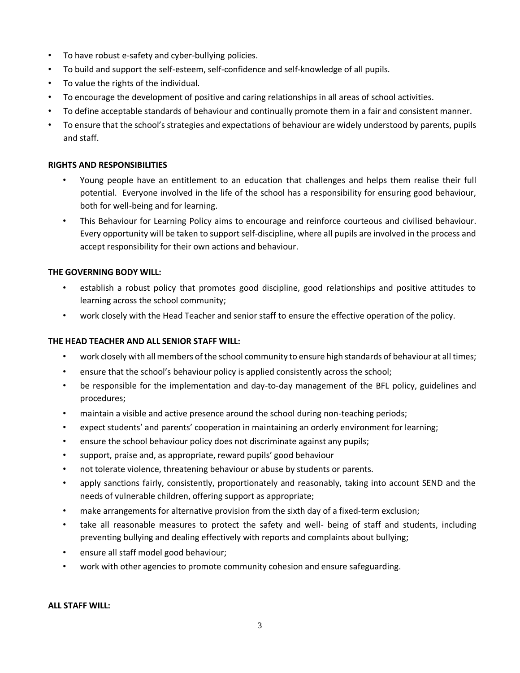- To have robust e-safety and cyber-bullying policies.
- To build and support the self-esteem, self-confidence and self-knowledge of all pupils.
- To value the rights of the individual.
- To encourage the development of positive and caring relationships in all areas of school activities.
- To define acceptable standards of behaviour and continually promote them in a fair and consistent manner.
- To ensure that the school's strategies and expectations of behaviour are widely understood by parents, pupils and staff.

#### **RIGHTS AND RESPONSIBILITIES**

- Young people have an entitlement to an education that challenges and helps them realise their full potential. Everyone involved in the life of the school has a responsibility for ensuring good behaviour, both for well-being and for learning.
- This Behaviour for Learning Policy aims to encourage and reinforce courteous and civilised behaviour. Every opportunity will be taken to support self-discipline, where all pupils are involved in the process and accept responsibility for their own actions and behaviour.

#### **THE GOVERNING BODY WILL:**

- establish a robust policy that promotes good discipline, good relationships and positive attitudes to learning across the school community;
- work closely with the Head Teacher and senior staff to ensure the effective operation of the policy.

#### **THE HEAD TEACHER AND ALL SENIOR STAFF WILL:**

- work closely with all members of the school community to ensure high standards of behaviour at all times;
- ensure that the school's behaviour policy is applied consistently across the school;
- be responsible for the implementation and day-to-day management of the BFL policy, guidelines and procedures;
- maintain a visible and active presence around the school during non-teaching periods;
- expect students' and parents' cooperation in maintaining an orderly environment for learning;
- ensure the school behaviour policy does not discriminate against any pupils;
- support, praise and, as appropriate, reward pupils' good behaviour
- not tolerate violence, threatening behaviour or abuse by students or parents.
- apply sanctions fairly, consistently, proportionately and reasonably, taking into account SEND and the needs of vulnerable children, offering support as appropriate;
- make arrangements for alternative provision from the sixth day of a fixed-term exclusion;
- take all reasonable measures to protect the safety and well- being of staff and students, including preventing bullying and dealing effectively with reports and complaints about bullying;
- ensure all staff model good behaviour;
- work with other agencies to promote community cohesion and ensure safeguarding.

#### **ALL STAFF WILL:**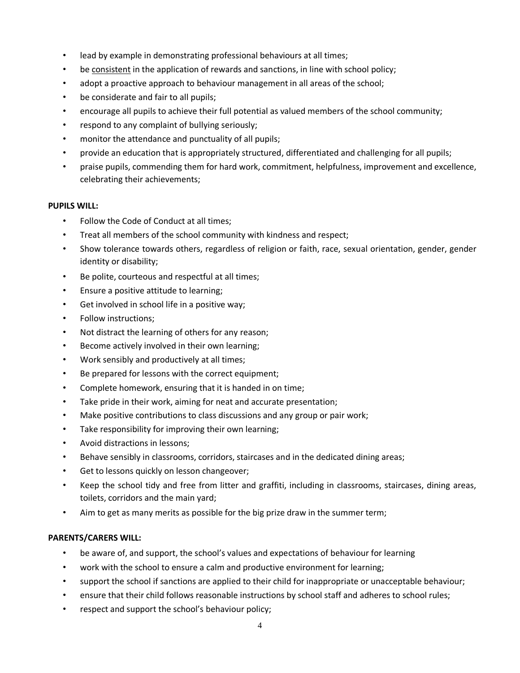- lead by example in demonstrating professional behaviours at all times;
- be consistent in the application of rewards and sanctions, in line with school policy;
- adopt a proactive approach to behaviour management in all areas of the school;
- be considerate and fair to all pupils;
- encourage all pupils to achieve their full potential as valued members of the school community;
- respond to any complaint of bullying seriously;
- monitor the attendance and punctuality of all pupils;
- provide an education that is appropriately structured, differentiated and challenging for all pupils;
- praise pupils, commending them for hard work, commitment, helpfulness, improvement and excellence, celebrating their achievements;

#### **PUPILS WILL:**

- Follow the Code of Conduct at all times;
- Treat all members of the school community with kindness and respect;
- Show tolerance towards others, regardless of religion or faith, race, sexual orientation, gender, gender identity or disability;
- Be polite, courteous and respectful at all times;
- Ensure a positive attitude to learning;
- Get involved in school life in a positive way;
- Follow instructions;
- Not distract the learning of others for any reason;
- Become actively involved in their own learning;
- Work sensibly and productively at all times;
- Be prepared for lessons with the correct equipment;
- Complete homework, ensuring that it is handed in on time;
- Take pride in their work, aiming for neat and accurate presentation;
- Make positive contributions to class discussions and any group or pair work;
- Take responsibility for improving their own learning;
- Avoid distractions in lessons;
- Behave sensibly in classrooms, corridors, staircases and in the dedicated dining areas;
- Get to lessons quickly on lesson changeover;
- Keep the school tidy and free from litter and graffiti, including in classrooms, staircases, dining areas, toilets, corridors and the main yard;
- Aim to get as many merits as possible for the big prize draw in the summer term;

#### **PARENTS/CARERS WILL:**

- be aware of, and support, the school's values and expectations of behaviour for learning
- work with the school to ensure a calm and productive environment for learning;
- support the school if sanctions are applied to their child for inappropriate or unacceptable behaviour;
- ensure that their child follows reasonable instructions by school staff and adheres to school rules;
- respect and support the school's behaviour policy;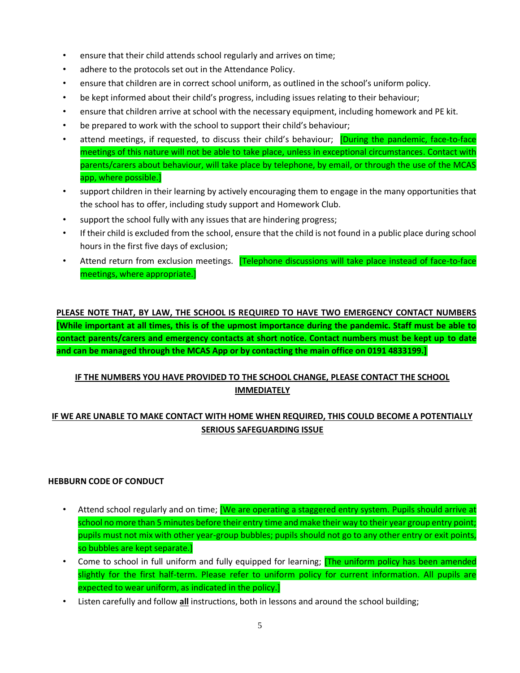- ensure that their child attends school regularly and arrives on time;
- adhere to the protocols set out in the Attendance Policy.
- ensure that children are in correct school uniform, as outlined in the school's uniform policy.
- be kept informed about their child's progress, including issues relating to their behaviour;
- ensure that children arrive at school with the necessary equipment, including homework and PE kit.
- be prepared to work with the school to support their child's behaviour;
- attend meetings, if requested, to discuss their child's behaviour; **[During the pandemic, face-to-face** meetings of this nature will not be able to take place, unless in exceptional circumstances. Contact with parents/carers about behaviour, will take place by telephone, by email, or through the use of the MCAS app, where possible.]
- support children in their learning by actively encouraging them to engage in the many opportunities that the school has to offer, including study support and Homework Club.
- support the school fully with any issues that are hindering progress;
- If their child is excluded from the school, ensure that the child is not found in a public place during school hours in the first five days of exclusion;
- Attend return from exclusion meetings. [Telephone discussions will take place instead of face-to-face meetings, where appropriate.]

**PLEASE NOTE THAT, BY LAW, THE SCHOOL IS REQUIRED TO HAVE TWO EMERGENCY CONTACT NUMBERS [While important at all times, this is of the upmost importance during the pandemic. Staff must be able to contact parents/carers and emergency contacts at short notice. Contact numbers must be kept up to date and can be managed through the MCAS App or by contacting the main office on 0191 4833199.]**

# **IF THE NUMBERS YOU HAVE PROVIDED TO THE SCHOOL CHANGE, PLEASE CONTACT THE SCHOOL IMMEDIATELY**

# **IF WE ARE UNABLE TO MAKE CONTACT WITH HOME WHEN REQUIRED, THIS COULD BECOME A POTENTIALLY SERIOUS SAFEGUARDING ISSUE**

#### **HEBBURN CODE OF CONDUCT**

- Attend school regularly and on time; [We are operating a staggered entry system. Pupils should arrive at school no more than 5 minutes before their entry time and make their way to their year group entry point; pupils must not mix with other year-group bubbles; pupils should not go to any other entry or exit points, so bubbles are kept separate.]
- Come to school in full uniform and fully equipped for learning; **[The uniform policy has been amended** slightly for the first half-term. Please refer to uniform policy for current information. All pupils are expected to wear uniform, as indicated in the policy.]
- Listen carefully and follow **all** instructions, both in lessons and around the school building;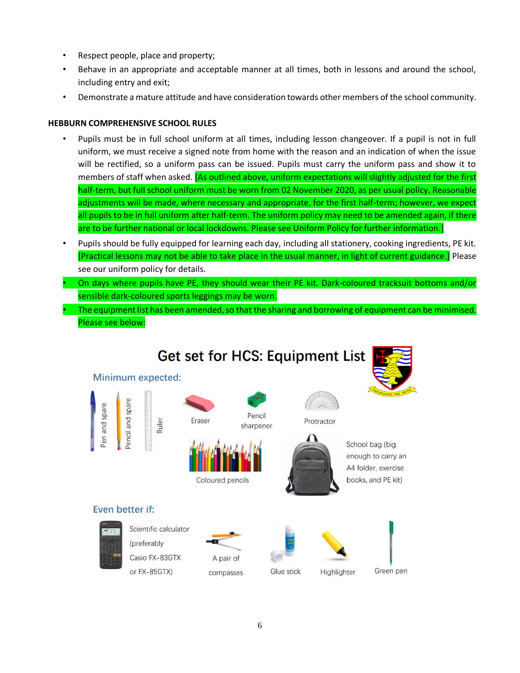- Respect people, place and property;
- Behave in an appropriate and acceptable manner at all times, both in lessons and around the school, including entry and exit;
- Demonstrate a mature attitude and have consideration towards other members of the school community.

#### **HEBBURN COMPREHENSIVE SCHOOL RULES**

- Pupils must be in full school uniform at all times, including lesson changeover. If a pupil is not in full uniform, we must receive a signed note from home with the reason and an indication of when the issue will be rectified, so a uniform pass can be issued. Pupils must carry the uniform pass and show it to members of staff when asked. [As outlined above, uniform expectations will slightly adjusted for the first half-term, but full school uniform must be worn from 02 November 2020, as per usual policy. Reasonable adjustments will be made, where necessary and appropriate, for the first half-term; however, we expect all pupils to be in full uniform after half-term. The uniform policy may need to be amended again, if there are to be further national or local lockdowns. Please see Uniform Policy for further information.]
- Pupils should be fully equipped for learning each day, including all stationery, cooking ingredients, PE kit. [Practical lessons may not be able to take place in the usual manner, in light of current guidance.] Please see our uniform policy for details.
- On days where pupils have PE, they should wear their PE kit. Dark-coloured tracksuit bottoms and/or sensible dark-coloured sports leggings may be worn.
- The equipment list has been amended, so that the sharing and borrowing of equipment can be minimised. Please see below:

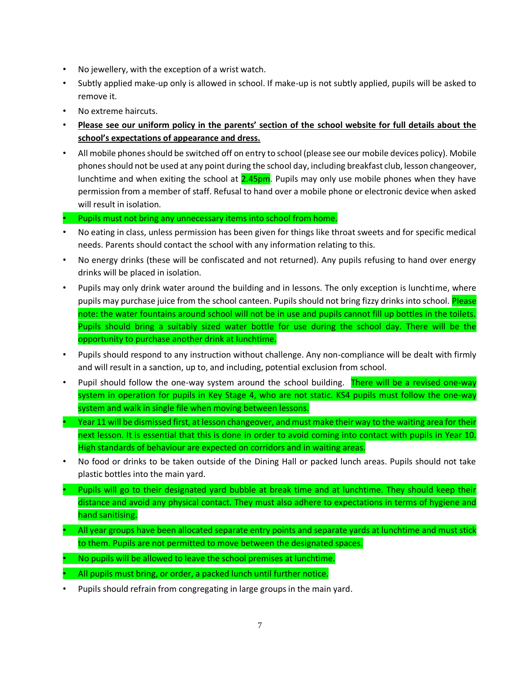- No jewellery, with the exception of a wrist watch.
- Subtly applied make-up only is allowed in school. If make-up is not subtly applied, pupils will be asked to remove it.
- No extreme haircuts.
- **Please see our uniform policy in the parents' section of the school website for full details about the school's expectations of appearance and dress.**
- All mobile phones should be switched off on entry to school (please see our mobile devices policy). Mobile phones should not be used at any point during the school day, including breakfast club, lesson changeover, lunchtime and when exiting the school at 2.45pm. Pupils may only use mobile phones when they have permission from a member of staff. Refusal to hand over a mobile phone or electronic device when asked will result in isolation.

# • Pupils must not bring any unnecessary items into school from home.

- No eating in class, unless permission has been given for things like throat sweets and for specific medical needs. Parents should contact the school with any information relating to this.
- No energy drinks (these will be confiscated and not returned). Any pupils refusing to hand over energy drinks will be placed in isolation.
- Pupils may only drink water around the building and in lessons. The only exception is lunchtime, where pupils may purchase juice from the school canteen. Pupils should not bring fizzy drinks into school. **Please** note: the water fountains around school will not be in use and pupils cannot fill up bottles in the toilets. Pupils should bring a suitably sized water bottle for use during the school day. There will be the opportunity to purchase another drink at lunchtime.
- Pupils should respond to any instruction without challenge. Any non-compliance will be dealt with firmly and will result in a sanction, up to, and including, potential exclusion from school.
- Pupil should follow the one-way system around the school building. There will be a revised one-way system in operation for pupils in Key Stage 4, who are not static. KS4 pupils must follow the one-way system and walk in single file when moving between lessons.
- Year 11 will be dismissed first, at lesson changeover, and must make their way to the waiting area for their next lesson. It is essential that this is done in order to avoid coming into contact with pupils in Year 10. High standards of behaviour are expected on corridors and in waiting areas.
- No food or drinks to be taken outside of the Dining Hall or packed lunch areas. Pupils should not take plastic bottles into the main yard.
- Pupils will go to their designated yard bubble at break time and at lunchtime. They should keep their distance and avoid any physical contact. They must also adhere to expectations in terms of hygiene and hand sanitising.
- All year groups have been allocated separate entry points and separate yards at lunchtime and must stick to them. Pupils are not permitted to move between the designated spaces.
- No pupils will be allowed to leave the school premises at lunchtime.
- All pupils must bring, or order, a packed lunch until further notice.
- Pupils should refrain from congregating in large groups in the main yard.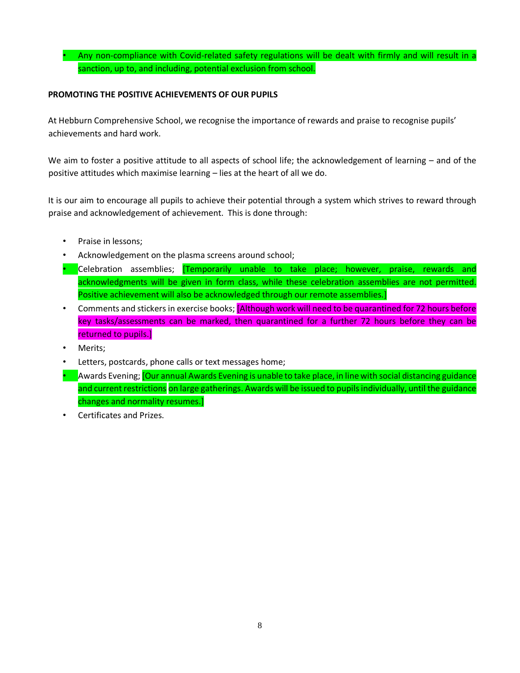# • Any non-compliance with Covid-related safety regulations will be dealt with firmly and will result in a sanction, up to, and including, potential exclusion from school.

#### **PROMOTING THE POSITIVE ACHIEVEMENTS OF OUR PUPILS**

At Hebburn Comprehensive School, we recognise the importance of rewards and praise to recognise pupils' achievements and hard work.

We aim to foster a positive attitude to all aspects of school life; the acknowledgement of learning – and of the positive attitudes which maximise learning – lies at the heart of all we do.

It is our aim to encourage all pupils to achieve their potential through a system which strives to reward through praise and acknowledgement of achievement. This is done through:

- Praise in lessons;
- Acknowledgement on the plasma screens around school;
- Celebration assemblies; **[Temporarily unable to take place**; however, praise, rewards and acknowledgments will be given in form class, while these celebration assemblies are not permitted. Positive achievement will also be acknowledged through our remote assemblies.]
- Comments and stickers in exercise books; [Although work will need to be quarantined for 72 hours before key tasks/assessments can be marked, then quarantined for a further 72 hours before they can be returned to pupils.]
- Merits;
- Letters, postcards, phone calls or text messages home;
- Awards Evening; *[Our annual Awards Evening is unable to take place, in line with social distancing guidance* and current restrictions on large gatherings. Awards will be issued to pupils individually, until the guidance changes and normality resumes.]
- Certificates and Prizes.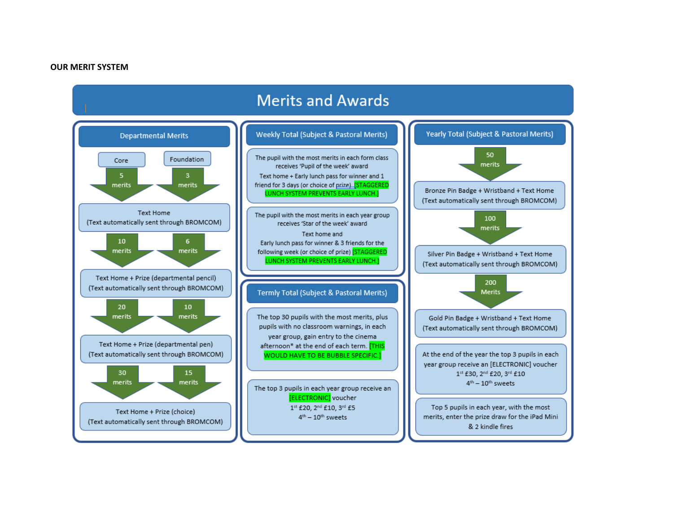#### **OUR MERIT SYSTEM**

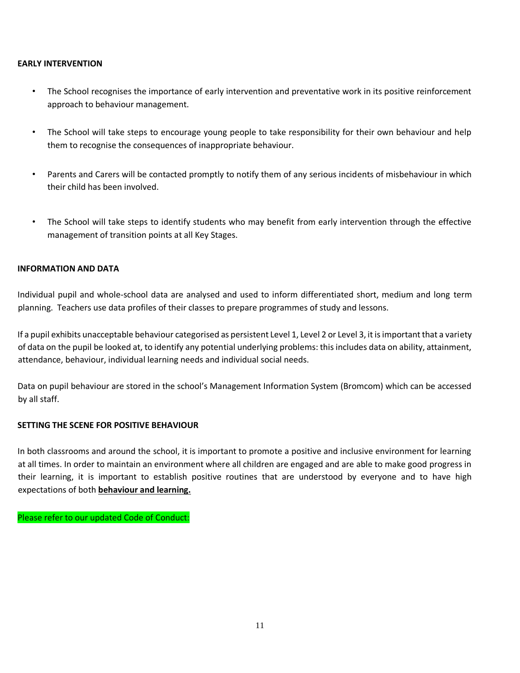#### **EARLY INTERVENTION**

- The School recognises the importance of early intervention and preventative work in its positive reinforcement approach to behaviour management.
- The School will take steps to encourage young people to take responsibility for their own behaviour and help them to recognise the consequences of inappropriate behaviour.
- Parents and Carers will be contacted promptly to notify them of any serious incidents of misbehaviour in which their child has been involved.
- The School will take steps to identify students who may benefit from early intervention through the effective management of transition points at all Key Stages.

#### **INFORMATION AND DATA**

Individual pupil and whole-school data are analysed and used to inform differentiated short, medium and long term planning. Teachers use data profiles of their classes to prepare programmes of study and lessons.

If a pupil exhibits unacceptable behaviour categorised as persistent Level 1, Level 2 or Level 3, it is important that a variety of data on the pupil be looked at, to identify any potential underlying problems: this includes data on ability, attainment, attendance, behaviour, individual learning needs and individual social needs.

Data on pupil behaviour are stored in the school's Management Information System (Bromcom) which can be accessed by all staff.

#### **SETTING THE SCENE FOR POSITIVE BEHAVIOUR**

In both classrooms and around the school, it is important to promote a positive and inclusive environment for learning at all times. In order to maintain an environment where all children are engaged and are able to make good progress in their learning, it is important to establish positive routines that are understood by everyone and to have high expectations of both **behaviour and learning.**

Please refer to our updated Code of Conduct: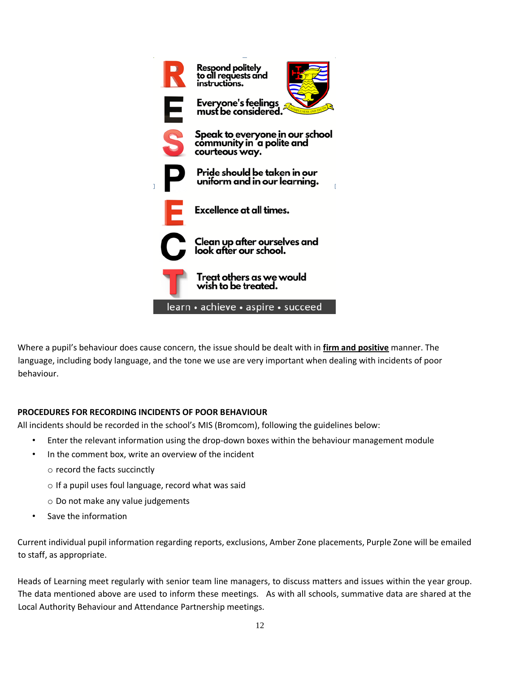

Where a pupil's behaviour does cause concern, the issue should be dealt with in **firm and positive** manner. The language, including body language, and the tone we use are very important when dealing with incidents of poor behaviour.

# **PROCEDURES FOR RECORDING INCIDENTS OF POOR BEHAVIOUR**

All incidents should be recorded in the school's MIS (Bromcom), following the guidelines below:

- Enter the relevant information using the drop-down boxes within the behaviour management module
- In the comment box, write an overview of the incident
	- o record the facts succinctly
	- o If a pupil uses foul language, record what was said
	- o Do not make any value judgements
- Save the information

Current individual pupil information regarding reports, exclusions, Amber Zone placements, Purple Zone will be emailed to staff, as appropriate.

Heads of Learning meet regularly with senior team line managers, to discuss matters and issues within the year group. The data mentioned above are used to inform these meetings. As with all schools, summative data are shared at the Local Authority Behaviour and Attendance Partnership meetings.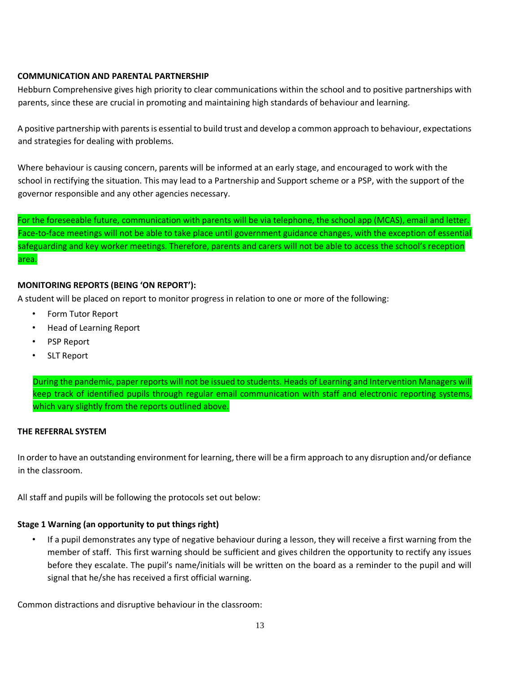# **COMMUNICATION AND PARENTAL PARTNERSHIP**

Hebburn Comprehensive gives high priority to clear communications within the school and to positive partnerships with parents, since these are crucial in promoting and maintaining high standards of behaviour and learning.

A positive partnership with parents is essential to build trust and develop a common approach to behaviour, expectations and strategies for dealing with problems.

Where behaviour is causing concern, parents will be informed at an early stage, and encouraged to work with the school in rectifying the situation. This may lead to a Partnership and Support scheme or a PSP, with the support of the governor responsible and any other agencies necessary.

For the foreseeable future, communication with parents will be via telephone, the school app (MCAS), email and letter. Face-to-face meetings will not be able to take place until government guidance changes, with the exception of essential safeguarding and key worker meetings. Therefore, parents and carers will not be able to access the school's reception area.

# **MONITORING REPORTS (BEING 'ON REPORT'):**

A student will be placed on report to monitor progress in relation to one or more of the following:

- Form Tutor Report
- Head of Learning Report
- PSP Report
- SLT Report

During the pandemic, paper reports will not be issued to students. Heads of Learning and Intervention Managers will keep track of identified pupils through regular email communication with staff and electronic reporting systems, which vary slightly from the reports outlined above.

#### **THE REFERRAL SYSTEM**

In order to have an outstanding environment for learning, there will be a firm approach to any disruption and/or defiance in the classroom.

All staff and pupils will be following the protocols set out below:

#### **Stage 1 Warning (an opportunity to put things right)**

• If a pupil demonstrates any type of negative behaviour during a lesson, they will receive a first warning from the member of staff. This first warning should be sufficient and gives children the opportunity to rectify any issues before they escalate. The pupil's name/initials will be written on the board as a reminder to the pupil and will signal that he/she has received a first official warning.

Common distractions and disruptive behaviour in the classroom: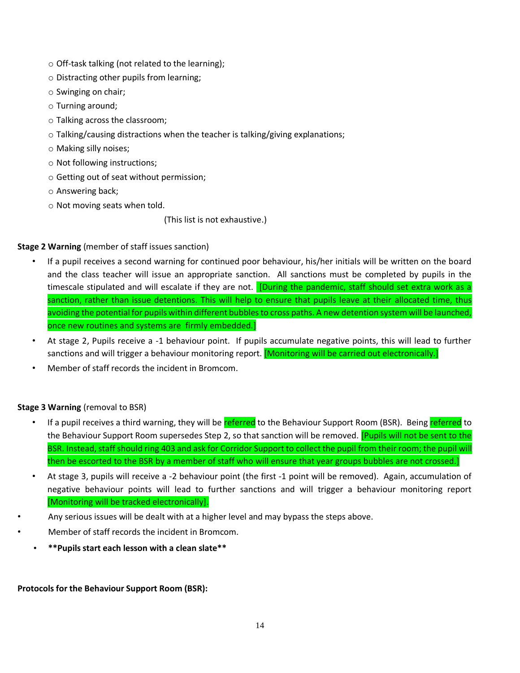- o Off-task talking (not related to the learning);
- o Distracting other pupils from learning;
- o Swinging on chair;
- o Turning around;
- o Talking across the classroom;
- o Talking/causing distractions when the teacher is talking/giving explanations;
- o Making silly noises;
- o Not following instructions;
- o Getting out of seat without permission;
- o Answering back;
- o Not moving seats when told.

(This list is not exhaustive.)

# **Stage 2 Warning** (member of staff issues sanction)

- If a pupil receives a second warning for continued poor behaviour, his/her initials will be written on the board and the class teacher will issue an appropriate sanction. All sanctions must be completed by pupils in the timescale stipulated and will escalate if they are not. [During the pandemic, staff should set extra work as a sanction, rather than issue detentions. This will help to ensure that pupils leave at their allocated time, thus avoiding the potential for pupils within different bubbles to cross paths. A new detention system will be launched, once new routines and systems are firmly embedded.]
- At stage 2, Pupils receive a -1 behaviour point. If pupils accumulate negative points, this will lead to further sanctions and will trigger a behaviour monitoring report. [Monitoring will be carried out electronically.]
- Member of staff records the incident in Bromcom.

# **Stage 3 Warning** (removal to BSR)

- If a pupil receives a third warning, they will be referred to the Behaviour Support Room (BSR). Being referred to the Behaviour Support Room supersedes Step 2, so that sanction will be removed. **[Pupils will not be sent to the** BSR. Instead, staff should ring 403 and ask for Corridor Support to collect the pupil from their room; the pupil will then be escorted to the BSR by a member of staff who will ensure that year groups bubbles are not crossed.]
- At stage 3, pupils will receive a -2 behaviour point (the first -1 point will be removed). Again, accumulation of negative behaviour points will lead to further sanctions and will trigger a behaviour monitoring report [Monitoring will be tracked electronically].
- Any serious issues will be dealt with at a higher level and may bypass the steps above.
- Member of staff records the incident in Bromcom.
	- **\*\*Pupils start each lesson with a clean slate\*\***

**Protocols for the Behaviour Support Room (BSR):**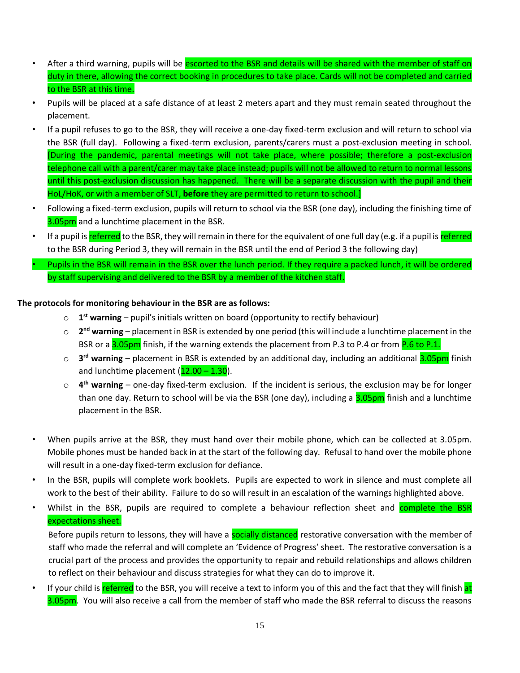- After a third warning, pupils will be escorted to the BSR and details will be shared with the member of staff on duty in there, allowing the correct booking in procedures to take place. Cards will not be completed and carried to the BSR at this time.
- Pupils will be placed at a safe distance of at least 2 meters apart and they must remain seated throughout the placement.
- If a pupil refuses to go to the BSR, they will receive a one-day fixed-term exclusion and will return to school via the BSR (full day). Following a fixed-term exclusion, parents/carers must a post-exclusion meeting in school. [During the pandemic, parental meetings will not take place, where possible; therefore a post-exclusion telephone call with a parent/carer may take place instead; pupils will not be allowed to return to normal lessons until this post-exclusion discussion has happened. There will be a separate discussion with the pupil and their HoL/HoK, or with a member of SLT, **before** they are permitted to return to school.]
- Following a fixed-term exclusion, pupils will return to school via the BSR (one day), including the finishing time of 3.05pm and a lunchtime placement in the BSR.
- If a pupil is referred to the BSR, they will remain in there for the equivalent of one full day (e.g. if a pupil is referred to the BSR during Period 3, they will remain in the BSR until the end of Period 3 the following day)
- Pupils in the BSR will remain in the BSR over the lunch period. If they require a packed lunch, it will be ordered by staff supervising and delivered to the BSR by a member of the kitchen staff.

#### **The protocols for monitoring behaviour in the BSR are as follows:**

- o **1 st warning** pupil's initials written on board (opportunity to rectify behaviour)
- o **2 nd warning** placement in BSR is extended by one period (this will include a lunchtime placement in the BSR or a 3.05pm finish, if the warning extends the placement from P.3 to P.4 or from P.6 to P.1.
- o **3 rd warning** placement in BSR is extended by an additional day, including an additional 3.05pm finish and lunchtime placement  $(12.00 - 1.30)$ .
- o **4 th warning** one-day fixed-term exclusion. If the incident is serious, the exclusion may be for longer than one day. Return to school will be via the BSR (one day), including a **3.05pm** finish and a lunchtime placement in the BSR.
- When pupils arrive at the BSR, they must hand over their mobile phone, which can be collected at 3.05pm. Mobile phones must be handed back in at the start of the following day. Refusal to hand over the mobile phone will result in a one-day fixed-term exclusion for defiance.
- In the BSR, pupils will complete work booklets. Pupils are expected to work in silence and must complete all work to the best of their ability. Failure to do so will result in an escalation of the warnings highlighted above.
- Whilst in the BSR, pupils are required to complete a behaviour reflection sheet and complete the BSR expectations sheet.

Before pupils return to lessons, they will have a socially distanced restorative conversation with the member of staff who made the referral and will complete an 'Evidence of Progress' sheet. The restorative conversation is a crucial part of the process and provides the opportunity to repair and rebuild relationships and allows children to reflect on their behaviour and discuss strategies for what they can do to improve it.

If your child is referred to the BSR, you will receive a text to inform you of this and the fact that they will finish at 3.05pm. You will also receive a call from the member of staff who made the BSR referral to discuss the reasons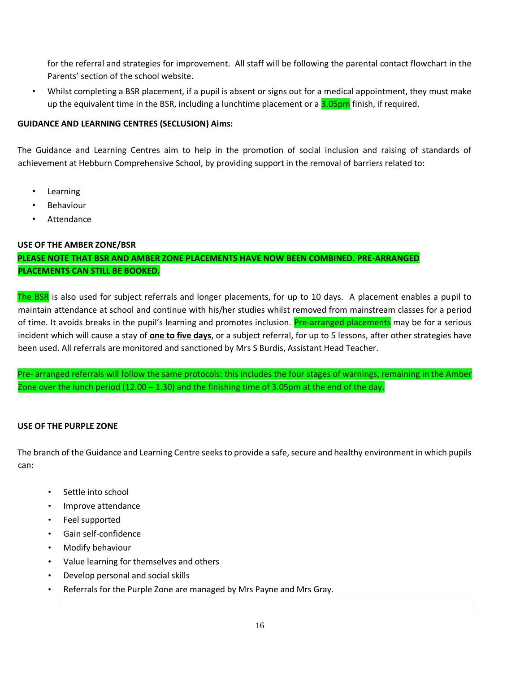for the referral and strategies for improvement. All staff will be following the parental contact flowchart in the Parents' section of the school website.

• Whilst completing a BSR placement, if a pupil is absent or signs out for a medical appointment, they must make up the equivalent time in the BSR, including a lunchtime placement or a  $3.05$ pm finish, if required.

# **GUIDANCE AND LEARNING CENTRES (SECLUSION) Aims:**

The Guidance and Learning Centres aim to help in the promotion of social inclusion and raising of standards of achievement at Hebburn Comprehensive School, by providing support in the removal of barriers related to:

- **Learning**
- **Behaviour**
- **Attendance**

# **USE OF THE AMBER ZONE/BSR**

# **PLEASE NOTE THAT BSR AND AMBER ZONE PLACEMENTS HAVE NOW BEEN COMBINED. PRE-ARRANGED PLACEMENTS CAN STILL BE BOOKED.**

The BSR is also used for subject referrals and longer placements, for up to 10 days. A placement enables a pupil to maintain attendance at school and continue with his/her studies whilst removed from mainstream classes for a period of time. It avoids breaks in the pupil's learning and promotes inclusion. Pre-arranged placements may be for a serious incident which will cause a stay of **one to five days**, or a subject referral, for up to 5 lessons, after other strategies have been used. All referrals are monitored and sanctioned by Mrs S Burdis, Assistant Head Teacher.

Pre- arranged referrals will follow the same protocols: this includes the four stages of warnings, remaining in the Amber Zone over the lunch period  $(12.00 - 1.30)$  and the finishing time of 3.05pm at the end of the day.

#### **USE OF THE PURPLE ZONE**

The branch of the Guidance and Learning Centre seeks to provide a safe, secure and healthy environment in which pupils can:

- Settle into school
- Improve attendance
- Feel supported
- Gain self-confidence
- Modify behaviour
- Value learning for themselves and others
- Develop personal and social skills
- Referrals for the Purple Zone are managed by Mrs Payne and Mrs Gray.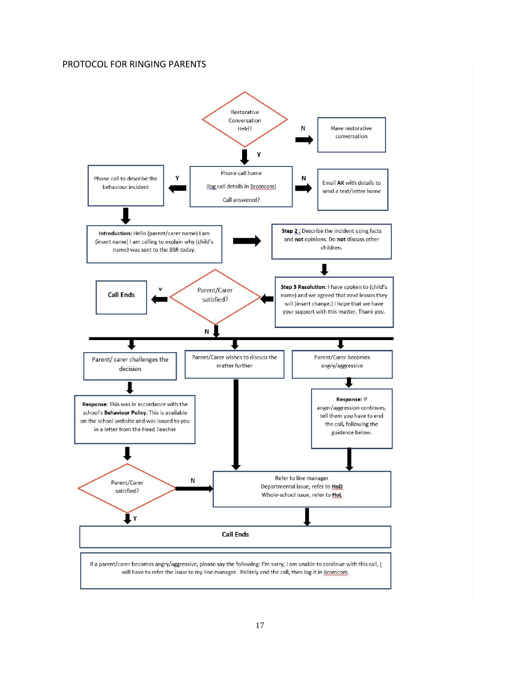#### PROTOCOL FOR RINGING PARENTS

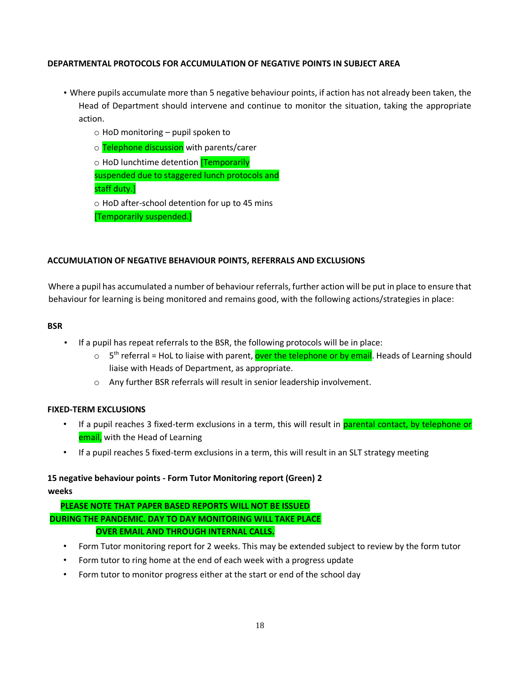#### **DEPARTMENTAL PROTOCOLS FOR ACCUMULATION OF NEGATIVE POINTS IN SUBJECT AREA**

- Where pupils accumulate more than 5 negative behaviour points, if action has not already been taken, the Head of Department should intervene and continue to monitor the situation, taking the appropriate action.
	- o HoD monitoring pupil spoken to
	- o Telephone discussion with parents/carer

o HoD lunchtime detention **Temporarily** suspended due to staggered lunch protocols and staff duty.] o HoD after-school detention for up to 45 mins [Temporarily suspended.]

#### **ACCUMULATION OF NEGATIVE BEHAVIOUR POINTS, REFERRALS AND EXCLUSIONS**

Where a pupil has accumulated a number of behaviour referrals, further action will be put in place to ensure that behaviour for learning is being monitored and remains good, with the following actions/strategies in place:

#### **BSR**

- If a pupil has repeat referrals to the BSR, the following protocols will be in place:
	- 5<sup>th</sup> referral = HoL to liaise with parent, <mark>over the telephone or by email</mark>. Heads of Learning should liaise with Heads of Department, as appropriate.
	- o Any further BSR referrals will result in senior leadership involvement.

#### **FIXED-TERM EXCLUSIONS**

- If a pupil reaches 3 fixed-term exclusions in a term, this will result in parental contact, by telephone or email, with the Head of Learning
- If a pupil reaches 5 fixed-term exclusions in a term, this will result in an SLT strategy meeting

# **15 negative behaviour points - Form Tutor Monitoring report (Green) 2 weeks**

**PLEASE NOTE THAT PAPER BASED REPORTS WILL NOT BE ISSUED DURING THE PANDEMIC. DAY TO DAY MONITORING WILL TAKE PLACE OVER EMAIL AND THROUGH INTERNAL CALLS.**

- Form Tutor monitoring report for 2 weeks. This may be extended subject to review by the form tutor
- Form tutor to ring home at the end of each week with a progress update
- Form tutor to monitor progress either at the start or end of the school day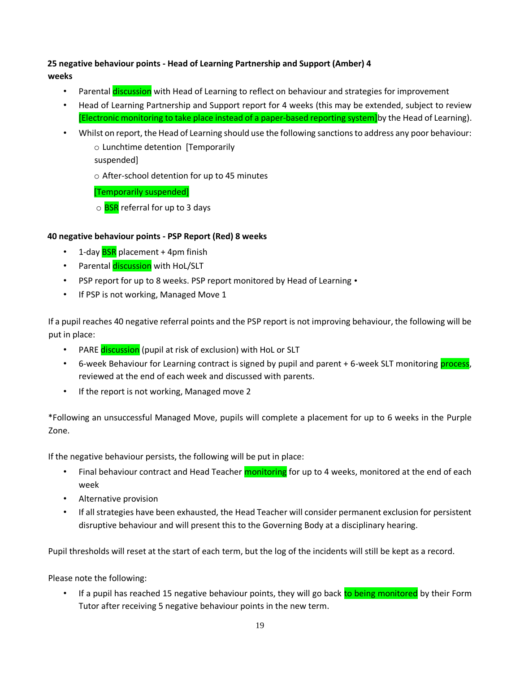# **25 negative behaviour points - Head of Learning Partnership and Support (Amber) 4 weeks**

- Parental **discussion** with Head of Learning to reflect on behaviour and strategies for improvement
- Head of Learning Partnership and Support report for 4 weeks (this may be extended, subject to review [Electronic monitoring to take place instead of a paper-based reporting system]by the Head of Learning).
- Whilst on report, the Head of Learning should use the following sanctions to address any poor behaviour: o Lunchtime detention [Temporarily

suspended]

o After-school detention for up to 45 minutes

[Temporarily suspended]

 $\circ$  BSR referral for up to 3 days

# **40 negative behaviour points - PSP Report (Red) 8 weeks**

- 1-day **BSR** placement + 4pm finish
- Parental **discussion** with HoL/SLT
- PSP report for up to 8 weeks. PSP report monitored by Head of Learning •
- If PSP is not working, Managed Move 1

If a pupil reaches 40 negative referral points and the PSP report is not improving behaviour, the following will be put in place:

- PARE discussion (pupil at risk of exclusion) with HoL or SLT
- 6-week Behaviour for Learning contract is signed by pupil and parent + 6-week SLT monitoring process, reviewed at the end of each week and discussed with parents.
- If the report is not working, Managed move 2

\*Following an unsuccessful Managed Move, pupils will complete a placement for up to 6 weeks in the Purple Zone.

If the negative behaviour persists, the following will be put in place:

- Final behaviour contract and Head Teacher **monitoring** for up to 4 weeks, monitored at the end of each week
- Alternative provision
- If all strategies have been exhausted, the Head Teacher will consider permanent exclusion for persistent disruptive behaviour and will present this to the Governing Body at a disciplinary hearing.

Pupil thresholds will reset at the start of each term, but the log of the incidents will still be kept as a record.

Please note the following:

• If a pupil has reached 15 negative behaviour points, they will go back to being monitored by their Form Tutor after receiving 5 negative behaviour points in the new term.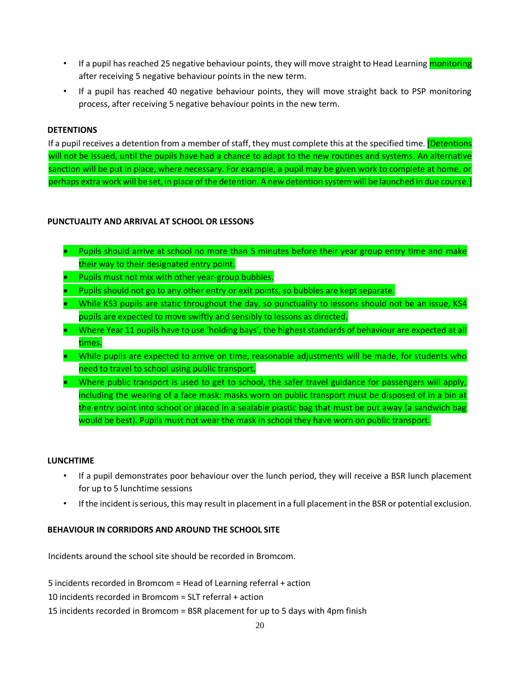- If a pupil has reached 25 negative behaviour points, they will move straight to Head Learning monitoring after receiving 5 negative behaviour points in the new term.
- If a pupil has reached 40 negative behaviour points, they will move straight back to PSP monitoring process, after receiving 5 negative behaviour points in the new term.

#### **DETENTIONS**

If a pupil receives a detention from a member of staff, they must complete this at the specified time. [Detentions will not be issued, until the pupils have had a chance to adapt to the new routines and systems. An alternative sanction will be put in place, where necessary. For example, a pupil may be given work to complete at home, or perhaps extra work will be set, in place of the detention. A new detention system will be launched in due course.]

# **PUNCTUALITY AND ARRIVAL AT SCHOOL OR LESSONS**

- Pupils should arrive at school no more than 5 minutes before their year group entry time and make their way to their designated entry point.
- Pupils must not mix with other year-group bubbles.
- Pupils should not go to any other entry or exit points, so bubbles are kept separate.
- While KS3 pupils are static throughout the day, so punctuality to lessons should not be an issue, KS4 pupils are expected to move swiftly and sensibly to lessons as directed.
- Where Year 11 pupils have to use 'holding bays', the highest standards of behaviour are expected at all times.
- While pupils are expected to arrive on time, reasonable adjustments will be made, for students who need to travel to school using public transport.
- Where public transport is used to get to school, the safer travel guidance for passengers will apply, including the wearing of a face mask: masks worn on public transport must be disposed of in a bin at the entry point into school or placed in a sealable plastic bag that must be put away (a sandwich bag would be best). Pupils must not wear the mask in school they have worn on public transport.

#### **LUNCHTIME**

- If a pupil demonstrates poor behaviour over the lunch period, they will receive a BSR lunch placement for up to 5 lunchtime sessions
- If the incident is serious, this may result in placement in a full placement in the BSR or potential exclusion.

# **BEHAVIOUR IN CORRIDORS AND AROUND THE SCHOOL SITE**

Incidents around the school site should be recorded in Bromcom.

5 incidents recorded in Bromcom = Head of Learning referral + action

10 incidents recorded in Bromcom = SLT referral + action

15 incidents recorded in Bromcom = BSR placement for up to 5 days with 4pm finish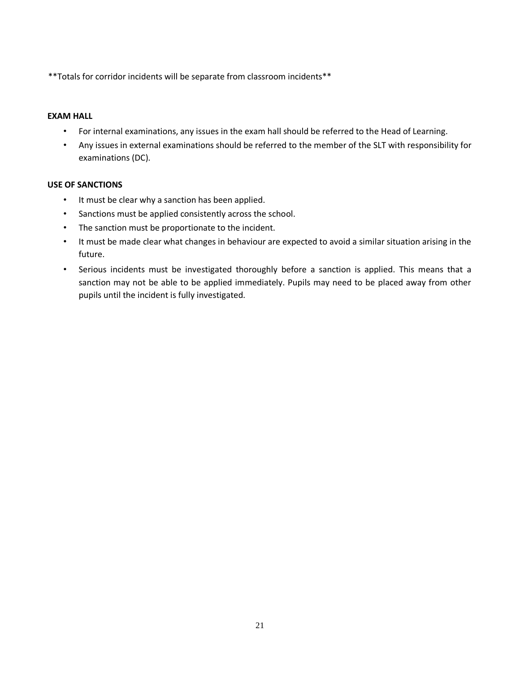\*\*Totals for corridor incidents will be separate from classroom incidents\*\*

#### **EXAM HALL**

- For internal examinations, any issues in the exam hall should be referred to the Head of Learning.
- Any issues in external examinations should be referred to the member of the SLT with responsibility for examinations (DC).

# **USE OF SANCTIONS**

- It must be clear why a sanction has been applied.
- Sanctions must be applied consistently across the school.
- The sanction must be proportionate to the incident.
- It must be made clear what changes in behaviour are expected to avoid a similar situation arising in the future.
- Serious incidents must be investigated thoroughly before a sanction is applied. This means that a sanction may not be able to be applied immediately. Pupils may need to be placed away from other pupils until the incident is fully investigated.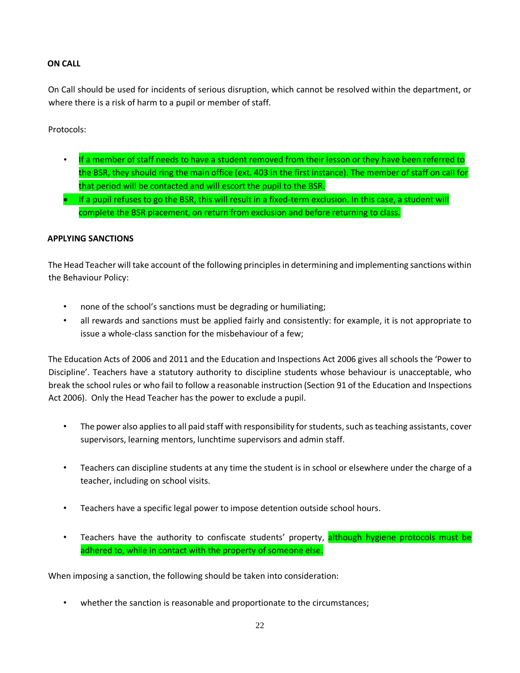# **ON CALL**

On Call should be used for incidents of serious disruption, which cannot be resolved within the department, or where there is a risk of harm to a pupil or member of staff.

Protocols:

- If a member of staff needs to have a student removed from their lesson or they have been referred to the BSR, they should ring the main office (ext. 403 in the first instance). The member of staff on call for that period will be contacted and will escort the pupil to the BSR.
- If a pupil refuses to go the BSR, this will result in a fixed-term exclusion. In this case, a student will complete the BSR placement, on return from exclusion and before returning to class.

#### **APPLYING SANCTIONS**

The Head Teacher will take account of the following principles in determining and implementing sanctions within the Behaviour Policy:

- none of the school's sanctions must be degrading or humiliating;
- all rewards and sanctions must be applied fairly and consistently: for example, it is not appropriate to issue a whole-class sanction for the misbehaviour of a few;

The Education Acts of 2006 and 2011 and the Education and Inspections Act 2006 gives all schools the 'Power to Discipline'. Teachers have a statutory authority to discipline students whose behaviour is unacceptable, who break the school rules or who fail to follow a reasonable instruction (Section 91 of the Education and Inspections Act 2006). Only the Head Teacher has the power to exclude a pupil.

- The power also applies to all paid staff with responsibility for students, such as teaching assistants, cover supervisors, learning mentors, lunchtime supervisors and admin staff.
- Teachers can discipline students at any time the student is in school or elsewhere under the charge of a teacher, including on school visits.
- Teachers have a specific legal power to impose detention outside school hours.
- Teachers have the authority to confiscate students' property, although hygiene protocols must be adhered to, while in contact with the property of someone else.

When imposing a sanction, the following should be taken into consideration:

whether the sanction is reasonable and proportionate to the circumstances;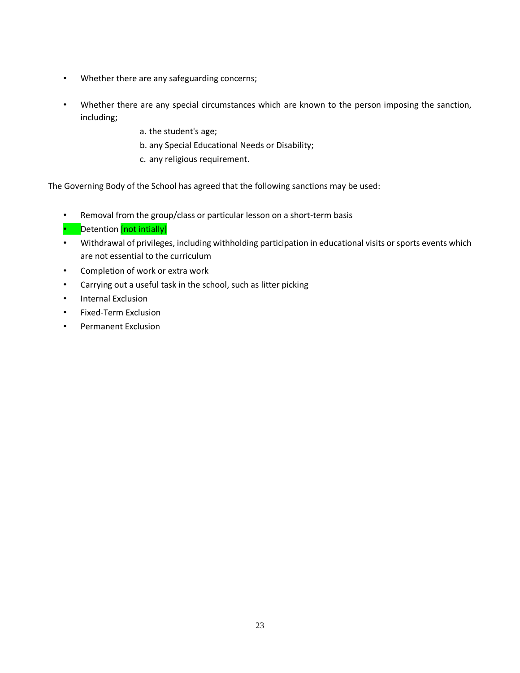- Whether there are any safeguarding concerns;
- Whether there are any special circumstances which are known to the person imposing the sanction, including;
	- a. the student's age;
	- b. any Special Educational Needs or Disability;
	- c. any religious requirement.

The Governing Body of the School has agreed that the following sanctions may be used:

- Removal from the group/class or particular lesson on a short-term basis
- **Detention** [not intially]
- Withdrawal of privileges, including withholding participation in educational visits or sports events which are not essential to the curriculum
- Completion of work or extra work
- Carrying out a useful task in the school, such as litter picking
- Internal Exclusion
- Fixed-Term Exclusion
- Permanent Exclusion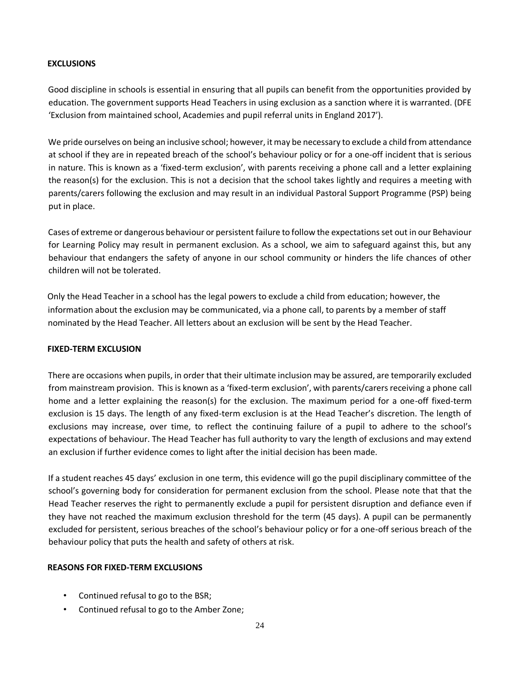#### **EXCLUSIONS**

Good discipline in schools is essential in ensuring that all pupils can benefit from the opportunities provided by education. The government supports Head Teachers in using exclusion as a sanction where it is warranted. (DFE 'Exclusion from maintained school, Academies and pupil referral units in England 2017').

We pride ourselves on being an inclusive school; however, it may be necessary to exclude a child from attendance at school if they are in repeated breach of the school's behaviour policy or for a one-off incident that is serious in nature. This is known as a 'fixed-term exclusion', with parents receiving a phone call and a letter explaining the reason(s) for the exclusion. This is not a decision that the school takes lightly and requires a meeting with parents/carers following the exclusion and may result in an individual Pastoral Support Programme (PSP) being put in place.

Cases of extreme or dangerous behaviour or persistent failure to follow the expectations set out in our Behaviour for Learning Policy may result in permanent exclusion. As a school, we aim to safeguard against this, but any behaviour that endangers the safety of anyone in our school community or hinders the life chances of other children will not be tolerated.

Only the Head Teacher in a school has the legal powers to exclude a child from education; however, the information about the exclusion may be communicated, via a phone call, to parents by a member of staff nominated by the Head Teacher. All letters about an exclusion will be sent by the Head Teacher.

#### **FIXED-TERM EXCLUSION**

There are occasions when pupils, in order that their ultimate inclusion may be assured, are temporarily excluded from mainstream provision. This is known as a 'fixed-term exclusion', with parents/carers receiving a phone call home and a letter explaining the reason(s) for the exclusion. The maximum period for a one-off fixed-term exclusion is 15 days. The length of any fixed-term exclusion is at the Head Teacher's discretion. The length of exclusions may increase, over time, to reflect the continuing failure of a pupil to adhere to the school's expectations of behaviour. The Head Teacher has full authority to vary the length of exclusions and may extend an exclusion if further evidence comes to light after the initial decision has been made.

If a student reaches 45 days' exclusion in one term, this evidence will go the pupil disciplinary committee of the school's governing body for consideration for permanent exclusion from the school. Please note that that the Head Teacher reserves the right to permanently exclude a pupil for persistent disruption and defiance even if they have not reached the maximum exclusion threshold for the term (45 days). A pupil can be permanently excluded for persistent, serious breaches of the school's behaviour policy or for a one-off serious breach of the behaviour policy that puts the health and safety of others at risk.

#### **REASONS FOR FIXED-TERM EXCLUSIONS**

- Continued refusal to go to the BSR;
- Continued refusal to go to the Amber Zone;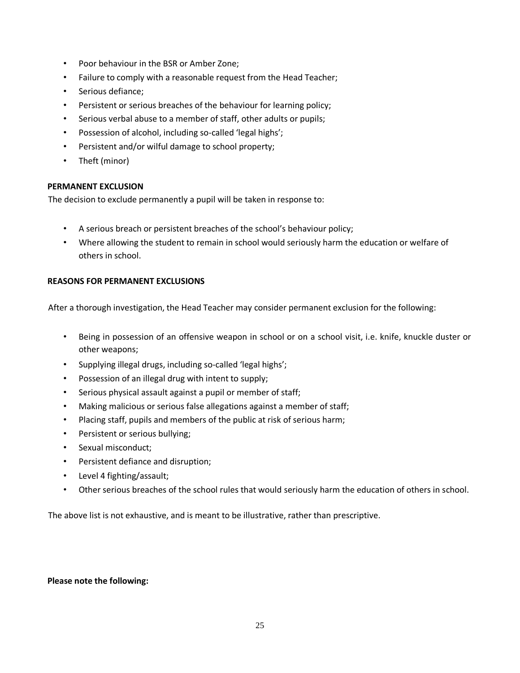- Poor behaviour in the BSR or Amber Zone;
- Failure to comply with a reasonable request from the Head Teacher;
- Serious defiance;
- Persistent or serious breaches of the behaviour for learning policy;
- Serious verbal abuse to a member of staff, other adults or pupils;
- Possession of alcohol, including so-called 'legal highs';
- Persistent and/or wilful damage to school property;
- Theft (minor)

#### **PERMANENT EXCLUSION**

The decision to exclude permanently a pupil will be taken in response to:

- A serious breach or persistent breaches of the school's behaviour policy;
- Where allowing the student to remain in school would seriously harm the education or welfare of others in school.

#### **REASONS FOR PERMANENT EXCLUSIONS**

After a thorough investigation, the Head Teacher may consider permanent exclusion for the following:

- Being in possession of an offensive weapon in school or on a school visit, i.e. knife, knuckle duster or other weapons;
- Supplying illegal drugs, including so-called 'legal highs';
- Possession of an illegal drug with intent to supply;
- Serious physical assault against a pupil or member of staff;
- Making malicious or serious false allegations against a member of staff;
- Placing staff, pupils and members of the public at risk of serious harm;
- Persistent or serious bullying;
- Sexual misconduct;
- Persistent defiance and disruption;
- Level 4 fighting/assault;
- Other serious breaches of the school rules that would seriously harm the education of others in school.

The above list is not exhaustive, and is meant to be illustrative, rather than prescriptive.

#### **Please note the following:**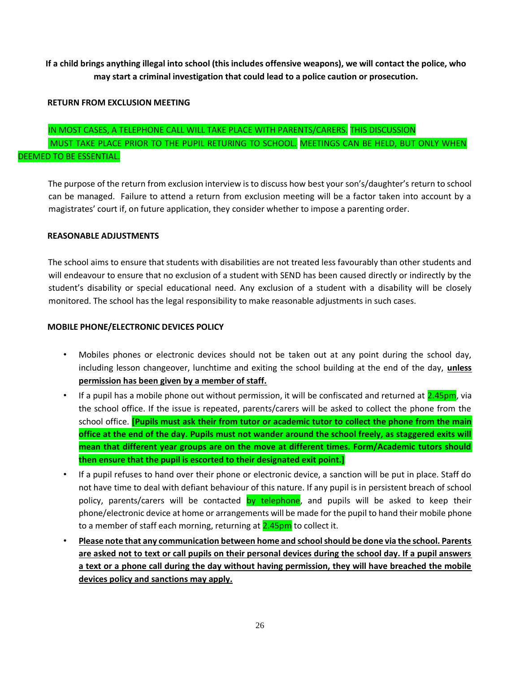**If a child brings anything illegal into school (this includes offensive weapons), we will contact the police, who may start a criminal investigation that could lead to a police caution or prosecution.** 

#### **RETURN FROM EXCLUSION MEETING**

# IN MOST CASES, A TELEPHONE CALL WILL TAKE PLACE WITH PARENTS/CARERS. THIS DISCUSSION MUST TAKE PLACE PRIOR TO THE PUPIL RETURING TO SCHOOL. MEETINGS CAN BE HELD, BUT ONLY WHEN DEEMED TO BE ESSENTIAL.

The purpose of the return from exclusion interview is to discuss how best your son's/daughter's return to school can be managed. Failure to attend a return from exclusion meeting will be a factor taken into account by a magistrates' court if, on future application, they consider whether to impose a parenting order.

#### **REASONABLE ADJUSTMENTS**

The school aims to ensure that students with disabilities are not treated less favourably than other students and will endeavour to ensure that no exclusion of a student with SEND has been caused directly or indirectly by the student's disability or special educational need. Any exclusion of a student with a disability will be closely monitored. The school has the legal responsibility to make reasonable adjustments in such cases.

#### **MOBILE PHONE/ELECTRONIC DEVICES POLICY**

- Mobiles phones or electronic devices should not be taken out at any point during the school day, including lesson changeover, lunchtime and exiting the school building at the end of the day, **unless permission has been given by a member of staff.**
- If a pupil has a mobile phone out without permission, it will be confiscated and returned at 2.45pm, via the school office. If the issue is repeated, parents/carers will be asked to collect the phone from the school office. **[Pupils must ask their from tutor or academic tutor to collect the phone from the main office at the end of the day. Pupils must not wander around the school freely, as staggered exits will mean that different year groups are on the move at different times. Form/Academic tutors should then ensure that the pupil is escorted to their designated exit point.]**
- If a pupil refuses to hand over their phone or electronic device, a sanction will be put in place. Staff do not have time to deal with defiant behaviour of this nature. If any pupil is in persistent breach of school policy, parents/carers will be contacted by telephone, and pupils will be asked to keep their phone/electronic device at home or arrangements will be made for the pupil to hand their mobile phone to a member of staff each morning, returning at **2.45pm** to collect it.
- **Please note that any communication between home and school should be done via the school. Parents are asked not to text or call pupils on their personal devices during the school day. If a pupil answers a text or a phone call during the day without having permission, they will have breached the mobile devices policy and sanctions may apply.**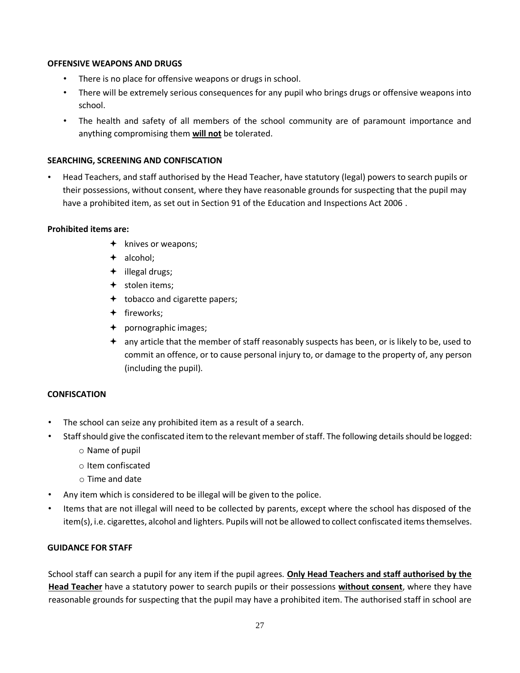#### **OFFENSIVE WEAPONS AND DRUGS**

- There is no place for offensive weapons or drugs in school.
- There will be extremely serious consequences for any pupil who brings drugs or offensive weapons into school.
- The health and safety of all members of the school community are of paramount importance and anything compromising them **will not** be tolerated.

#### **SEARCHING, SCREENING AND CONFISCATION**

• Head Teachers, and staff authorised by the Head Teacher, have statutory (legal) powers to search pupils or their possessions, without consent, where they have reasonable grounds for suspecting that the pupil may have a prohibited item, as set out in Section 91 of the Education and Inspections Act 2006 .

#### **Prohibited items are:**

- $+$  knives or weapons;
- alcohol;
- $+$  illegal drugs;
- $+$  stolen items;
- $\div$  tobacco and cigarette papers;
- + fireworks;
- pornographic images;
- $\div$  any article that the member of staff reasonably suspects has been, or is likely to be, used to commit an offence, or to cause personal injury to, or damage to the property of, any person (including the pupil).

#### **CONFISCATION**

- The school can seize any prohibited item as a result of a search.
- Staff should give the confiscated item to the relevant member of staff. The following details should be logged:
	- o Name of pupil
	- o Item confiscated
	- o Time and date
- Any item which is considered to be illegal will be given to the police.
- Items that are not illegal will need to be collected by parents, except where the school has disposed of the item(s), i.e. cigarettes, alcohol and lighters. Pupils will not be allowed to collect confiscated items themselves.

#### **GUIDANCE FOR STAFF**

School staff can search a pupil for any item if the pupil agrees. **Only Head Teachers and staff authorised by the Head Teacher** have a statutory power to search pupils or their possessions **without consent**, where they have reasonable grounds for suspecting that the pupil may have a prohibited item. The authorised staff in school are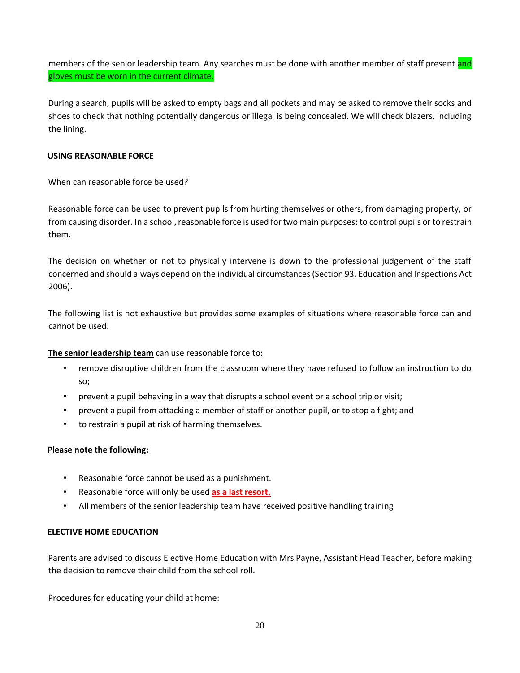members of the senior leadership team. Any searches must be done with another member of staff present and gloves must be worn in the current climate.

During a search, pupils will be asked to empty bags and all pockets and may be asked to remove their socks and shoes to check that nothing potentially dangerous or illegal is being concealed. We will check blazers, including the lining.

#### **USING REASONABLE FORCE**

When can reasonable force be used?

Reasonable force can be used to prevent pupils from hurting themselves or others, from damaging property, or from causing disorder. In a school, reasonable force is used for two main purposes: to control pupils or to restrain them.

The decision on whether or not to physically intervene is down to the professional judgement of the staff concerned and should always depend on the individual circumstances (Section 93, Education and Inspections Act 2006).

The following list is not exhaustive but provides some examples of situations where reasonable force can and cannot be used.

# **The senior leadership team** can use reasonable force to:

- remove disruptive children from the classroom where they have refused to follow an instruction to do so;
- prevent a pupil behaving in a way that disrupts a school event or a school trip or visit;
- prevent a pupil from attacking a member of staff or another pupil, or to stop a fight; and
- to restrain a pupil at risk of harming themselves.

# **Please note the following:**

- Reasonable force cannot be used as a punishment.
- Reasonable force will only be used **as a last resort.**
- All members of the senior leadership team have received positive handling training

#### **ELECTIVE HOME EDUCATION**

Parents are advised to discuss Elective Home Education with Mrs Payne, Assistant Head Teacher, before making the decision to remove their child from the school roll.

Procedures for educating your child at home: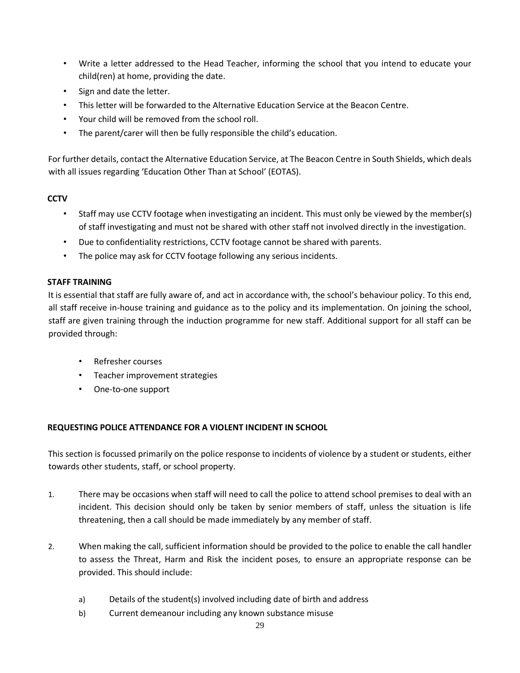- Write a letter addressed to the Head Teacher, informing the school that you intend to educate your child(ren) at home, providing the date.
- Sign and date the letter.
- This letter will be forwarded to the Alternative Education Service at the Beacon Centre.
- Your child will be removed from the school roll.
- The parent/carer will then be fully responsible the child's education.

For further details, contact the Alternative Education Service, at The Beacon Centre in South Shields, which deals with all issues regarding 'Education Other Than at School' (EOTAS).

# **CCTV**

- Staff may use CCTV footage when investigating an incident. This must only be viewed by the member(s) of staff investigating and must not be shared with other staff not involved directly in the investigation.
- Due to confidentiality restrictions, CCTV footage cannot be shared with parents.
- The police may ask for CCTV footage following any serious incidents.

# **STAFF TRAINING**

It is essential that staff are fully aware of, and act in accordance with, the school's behaviour policy. To this end, all staff receive in-house training and guidance as to the policy and its implementation. On joining the school, staff are given training through the induction programme for new staff. Additional support for all staff can be provided through:

- Refresher courses
- Teacher improvement strategies
- One-to-one support

# **REQUESTING POLICE ATTENDANCE FOR A VIOLENT INCIDENT IN SCHOOL**

This section is focussed primarily on the police response to incidents of violence by a student or students, either towards other students, staff, or school property.

- 1. There may be occasions when staff will need to call the police to attend school premises to deal with an incident. This decision should only be taken by senior members of staff, unless the situation is life threatening, then a call should be made immediately by any member of staff.
- 2. When making the call, sufficient information should be provided to the police to enable the call handler to assess the Threat, Harm and Risk the incident poses, to ensure an appropriate response can be provided. This should include:
	- a) Details of the student(s) involved including date of birth and address
	- b) Current demeanour including any known substance misuse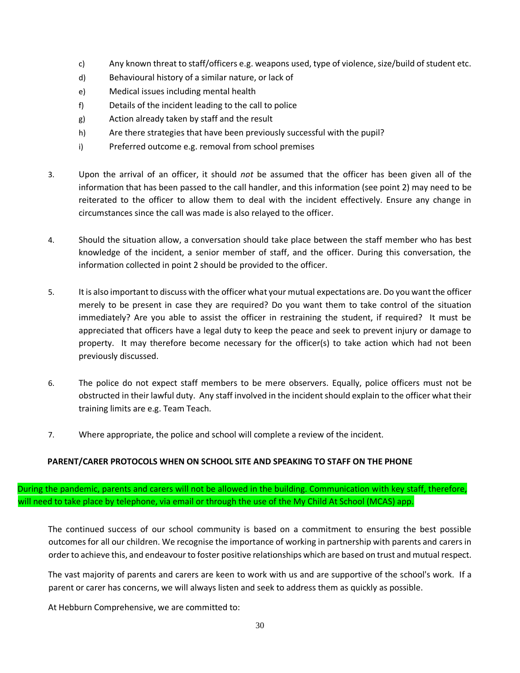- c) Any known threat to staff/officers e.g. weapons used, type of violence, size/build of student etc.
- d) Behavioural history of a similar nature, or lack of
- e) Medical issues including mental health
- f) Details of the incident leading to the call to police
- g) Action already taken by staff and the result
- h) Are there strategies that have been previously successful with the pupil?
- i) Preferred outcome e.g. removal from school premises
- 3. Upon the arrival of an officer, it should *not* be assumed that the officer has been given all of the information that has been passed to the call handler, and this information (see point 2) may need to be reiterated to the officer to allow them to deal with the incident effectively. Ensure any change in circumstances since the call was made is also relayed to the officer.
- 4. Should the situation allow, a conversation should take place between the staff member who has best knowledge of the incident, a senior member of staff, and the officer. During this conversation, the information collected in point 2 should be provided to the officer.
- 5. It is also important to discuss with the officer what your mutual expectations are. Do you want the officer merely to be present in case they are required? Do you want them to take control of the situation immediately? Are you able to assist the officer in restraining the student, if required? It must be appreciated that officers have a legal duty to keep the peace and seek to prevent injury or damage to property. It may therefore become necessary for the officer(s) to take action which had not been previously discussed.
- 6. The police do not expect staff members to be mere observers. Equally, police officers must not be obstructed in their lawful duty. Any staff involved in the incident should explain to the officer what their training limits are e.g. Team Teach.
- 7. Where appropriate, the police and school will complete a review of the incident.

#### **PARENT/CARER PROTOCOLS WHEN ON SCHOOL SITE AND SPEAKING TO STAFF ON THE PHONE**

During the pandemic, parents and carers will not be allowed in the building. Communication with key staff, therefore, will need to take place by telephone, via email or through the use of the My Child At School (MCAS) app.

The continued success of our school community is based on a commitment to ensuring the best possible outcomes for all our children. We recognise the importance of working in partnership with parents and carers in order to achieve this, and endeavour to foster positive relationships which are based on trust and mutual respect.

The vast majority of parents and carers are keen to work with us and are supportive of the school's work. If a parent or carer has concerns, we will always listen and seek to address them as quickly as possible.

At Hebburn Comprehensive, we are committed to: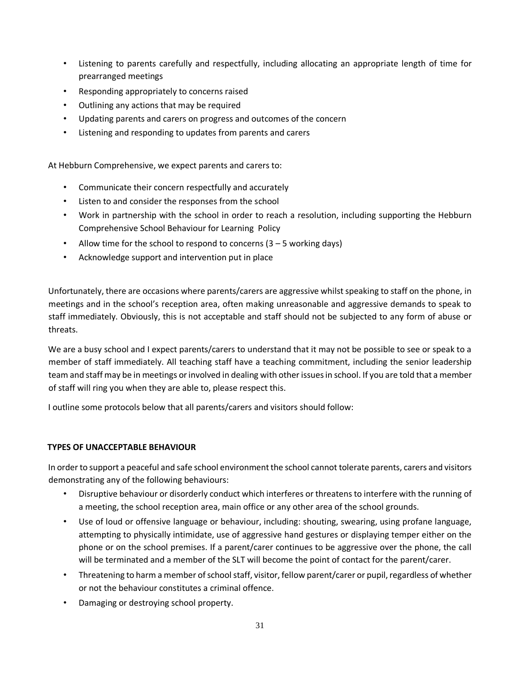- Listening to parents carefully and respectfully, including allocating an appropriate length of time for prearranged meetings
- Responding appropriately to concerns raised
- Outlining any actions that may be required
- Updating parents and carers on progress and outcomes of the concern
- Listening and responding to updates from parents and carers

At Hebburn Comprehensive, we expect parents and carers to:

- Communicate their concern respectfully and accurately
- Listen to and consider the responses from the school
- Work in partnership with the school in order to reach a resolution, including supporting the Hebburn Comprehensive School Behaviour for Learning Policy
- Allow time for the school to respond to concerns  $(3 5$  working days)
- Acknowledge support and intervention put in place

Unfortunately, there are occasions where parents/carers are aggressive whilst speaking to staff on the phone, in meetings and in the school's reception area, often making unreasonable and aggressive demands to speak to staff immediately. Obviously, this is not acceptable and staff should not be subjected to any form of abuse or threats.

We are a busy school and I expect parents/carers to understand that it may not be possible to see or speak to a member of staff immediately. All teaching staff have a teaching commitment, including the senior leadership team and staff may be in meetings or involved in dealing with other issues in school. If you are told that a member of staff will ring you when they are able to, please respect this.

I outline some protocols below that all parents/carers and visitors should follow:

#### **TYPES OF UNACCEPTABLE BEHAVIOUR**

In order to support a peaceful and safe school environment the school cannot tolerate parents, carers and visitors demonstrating any of the following behaviours:

- Disruptive behaviour or disorderly conduct which interferes or threatens to interfere with the running of a meeting, the school reception area, main office or any other area of the school grounds.
- Use of loud or offensive language or behaviour, including: shouting, swearing, using profane language, attempting to physically intimidate, use of aggressive hand gestures or displaying temper either on the phone or on the school premises. If a parent/carer continues to be aggressive over the phone, the call will be terminated and a member of the SLT will become the point of contact for the parent/carer.
- Threatening to harm a member of school staff, visitor, fellow parent/carer or pupil, regardless of whether or not the behaviour constitutes a criminal offence.
- Damaging or destroying school property.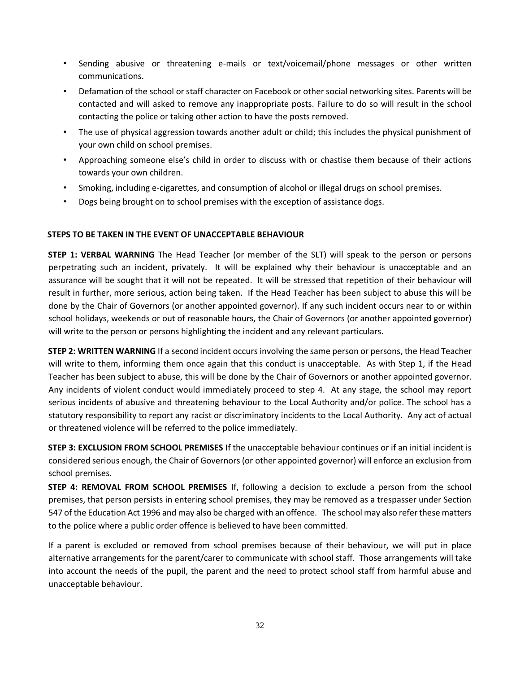- Sending abusive or threatening e-mails or text/voicemail/phone messages or other written communications.
- Defamation of the school or staff character on Facebook or other social networking sites. Parents will be contacted and will asked to remove any inappropriate posts. Failure to do so will result in the school contacting the police or taking other action to have the posts removed.
- The use of physical aggression towards another adult or child; this includes the physical punishment of your own child on school premises.
- Approaching someone else's child in order to discuss with or chastise them because of their actions towards your own children.
- Smoking, including e-cigarettes, and consumption of alcohol or illegal drugs on school premises.
- Dogs being brought on to school premises with the exception of assistance dogs.

#### **STEPS TO BE TAKEN IN THE EVENT OF UNACCEPTABLE BEHAVIOUR**

**STEP 1: VERBAL WARNING** The Head Teacher (or member of the SLT) will speak to the person or persons perpetrating such an incident, privately. It will be explained why their behaviour is unacceptable and an assurance will be sought that it will not be repeated. It will be stressed that repetition of their behaviour will result in further, more serious, action being taken. If the Head Teacher has been subject to abuse this will be done by the Chair of Governors (or another appointed governor). If any such incident occurs near to or within school holidays, weekends or out of reasonable hours, the Chair of Governors (or another appointed governor) will write to the person or persons highlighting the incident and any relevant particulars.

**STEP 2: WRITTEN WARNING** If a second incident occurs involving the same person or persons, the Head Teacher will write to them, informing them once again that this conduct is unacceptable. As with Step 1, if the Head Teacher has been subject to abuse, this will be done by the Chair of Governors or another appointed governor. Any incidents of violent conduct would immediately proceed to step 4. At any stage, the school may report serious incidents of abusive and threatening behaviour to the Local Authority and/or police. The school has a statutory responsibility to report any racist or discriminatory incidents to the Local Authority. Any act of actual or threatened violence will be referred to the police immediately.

**STEP 3: EXCLUSION FROM SCHOOL PREMISES** If the unacceptable behaviour continues or if an initial incident is considered serious enough, the Chair of Governors (or other appointed governor) will enforce an exclusion from school premises.

**STEP 4: REMOVAL FROM SCHOOL PREMISES** If, following a decision to exclude a person from the school premises, that person persists in entering school premises, they may be removed as a trespasser under Section 547 of the Education Act 1996 and may also be charged with an offence. The school may also refer these matters to the police where a public order offence is believed to have been committed.

If a parent is excluded or removed from school premises because of their behaviour, we will put in place alternative arrangements for the parent/carer to communicate with school staff. Those arrangements will take into account the needs of the pupil, the parent and the need to protect school staff from harmful abuse and unacceptable behaviour.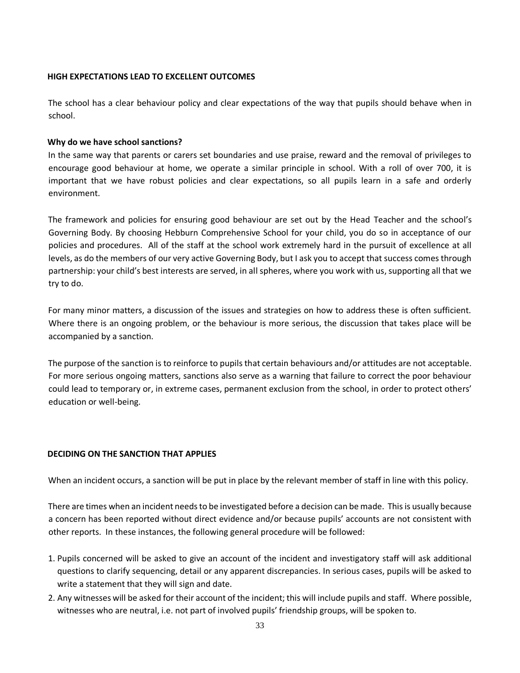#### **HIGH EXPECTATIONS LEAD TO EXCELLENT OUTCOMES**

The school has a clear behaviour policy and clear expectations of the way that pupils should behave when in school.

#### **Why do we have school sanctions?**

In the same way that parents or carers set boundaries and use praise, reward and the removal of privileges to encourage good behaviour at home, we operate a similar principle in school. With a roll of over 700, it is important that we have robust policies and clear expectations, so all pupils learn in a safe and orderly environment.

The framework and policies for ensuring good behaviour are set out by the Head Teacher and the school's Governing Body. By choosing Hebburn Comprehensive School for your child, you do so in acceptance of our policies and procedures. All of the staff at the school work extremely hard in the pursuit of excellence at all levels, as do the members of our very active Governing Body, but I ask you to accept that success comes through partnership: your child's best interests are served, in all spheres, where you work with us, supporting all that we try to do.

For many minor matters, a discussion of the issues and strategies on how to address these is often sufficient. Where there is an ongoing problem, or the behaviour is more serious, the discussion that takes place will be accompanied by a sanction.

The purpose of the sanction is to reinforce to pupils that certain behaviours and/or attitudes are not acceptable. For more serious ongoing matters, sanctions also serve as a warning that failure to correct the poor behaviour could lead to temporary or, in extreme cases, permanent exclusion from the school, in order to protect others' education or well-being.

#### **DECIDING ON THE SANCTION THAT APPLIES**

When an incident occurs, a sanction will be put in place by the relevant member of staff in line with this policy.

There are times when an incident needs to be investigated before a decision can be made. This is usually because a concern has been reported without direct evidence and/or because pupils' accounts are not consistent with other reports. In these instances, the following general procedure will be followed:

- 1. Pupils concerned will be asked to give an account of the incident and investigatory staff will ask additional questions to clarify sequencing, detail or any apparent discrepancies. In serious cases, pupils will be asked to write a statement that they will sign and date.
- 2. Any witnesses will be asked for their account of the incident; this will include pupils and staff. Where possible, witnesses who are neutral, i.e. not part of involved pupils' friendship groups, will be spoken to.